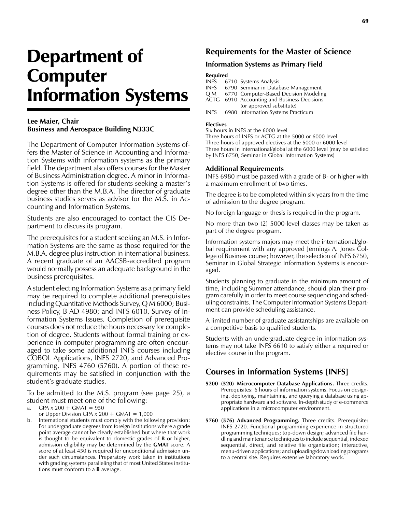# Department of Computer Information Systems

### **Lee Maier, Chair Business and Aerospace Building N333C**

The Department of Computer Information Systems offers the Master of Science in Accounting and Information Systems with information systems as the primary field. The department also offers courses for the Master of Business Administration degree. A minor in Information Systems is offered for students seeking a master's degree other than the M.B.A. The director of graduate business studies serves as advisor for the M.S. in Accounting and Information Systems.

Students are also encouraged to contact the CIS Department to discuss its program.

The prerequisites for a student seeking an M.S. in Information Systems are the same as those required for the M.B.A. degree plus instruction in international business. A recent graduate of an AACSB-accredited program would normally possess an adequate background in the business prerequisites.

A student electing Information Systems as a primary field may be required to complete additional prerequisites including Quantitative Methods Survey, Q M 6000; Business Policy, B AD 4980; and INFS 6010, Survey of Information Systems Issues. Completion of prerequisite courses does not reduce the hours necessary for completion of degree. Students without formal training or experience in computer programming are often encouraged to take some additional INFS courses including COBOL Applications, INFS 2720, and Advanced Programming, INFS 4760 (5760). A portion of these requirements may be satisfied in conjunction with the student's graduate studies.

To be admitted to the M.S. program (see page 25), a student must meet one of the following:

a. GPA  $x 200 + G$ MAT = 950

- or Upper Division GPA  $x$  200 + GMAT = 1,000
- b. International students must comply with the following provision: For undergraduate degrees from foreign institutions where a grade point average cannot be clearly established but where that work is thought to be equivalent to domestic grades of **B** or higher, admission eligibility may be determined by the **GMAT** score. A score of at least 450 is required for unconditional admission under such circumstances. Preparatory work taken in institutions with grading systems paralleling that of most United States institutions must conform to a **B** average.

# **Requirements for the Master of Science**

### **Information Systems as Primary Field**

# **Required**<br>INFS 6

INFS 6710 Systems Analysis<br>INFS 6790 Seminar in Datal

6790 Seminar in Database Management

- Q M 6770 Computer-Based Decision Modeling
- ACTG 6910 Accounting and Business Decisions (or approved substitute)
- INFS 6980 Information Systems Practicum

#### **Electives**

Six hours in INFS at the 6000 level Three hours of INFS or ACTG at the 5000 or 6000 level

Three hours of approved electives at the 5000 or 6000 level Three hours in international/global at the 6000 level (may be satisfied by INFS 6750, Seminar in Global Information Systems)

### **Additional Requirements**

INFS 6980 must be passed with a grade of B- or higher with a maximum enrollment of two times.

The degree is to be completed within six years from the time of admission to the degree program.

No foreign language or thesis is required in the program.

No more than two (2) 5000-level classes may be taken as part of the degree program.

Information systems majors may meet the international/global requirement with any approved Jennings A. Jones College of Business course; however, the selection of INFS 6750, Seminar in Global Strategic Information Systems is encouraged.

Students planning to graduate in the minimum amount of time, including Summer attendance, should plan their program carefully in order to meet course sequencing and scheduling constraints. The Computer Information Systems Department can provide scheduling assistance.

A limited number of graduate assistantships are available on a competitive basis to qualified students.

Students with an undergraduate degree in information systems may not take INFS 6610 to satisfy either a required or elective course in the program.

### **Courses in Information Systems [INFS]**

- **5200 (520) Microcomputer Database Applications.** Three credits. Prerequisites: 6 hours of information systems. Focus on designing, deploying, maintaining, and querying a database using appropriate hardware and software. In-depth study of e-commerce applications in a microcomputer environment.
- **5760 (576) Advanced Programming.** Three credits. Prerequisite: INFS 2720. Functional programming experience in structured programming techniques; top-down design; advanced file handling and maintenance techniques to include sequential, indexed sequential, direct, and relative file organization; interactive, menu-driven applications; and uploading/downloading programs to a central site. Requires extensive laboratory work.